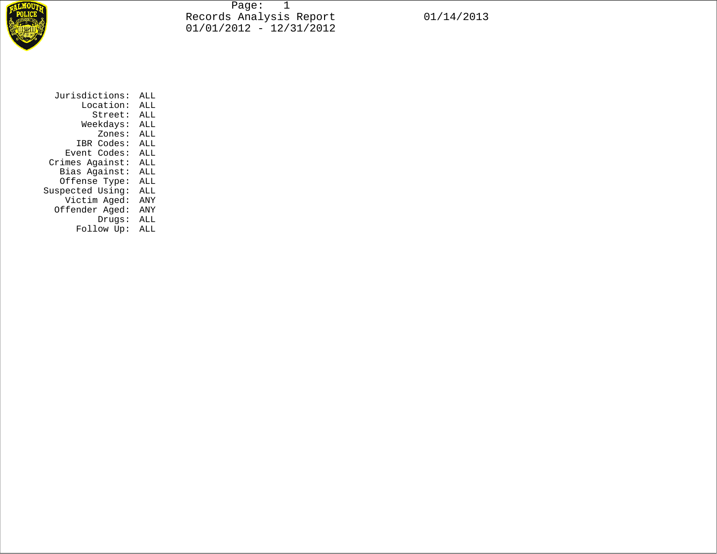

Page: 1 Records Analysis Report 01/14/2013 01/01/2012 - 12/31/2012

 Location: ALL Street: ALL Weekdays: ALL Zones: ALL IBR Codes: ALL Event Codes: ALL Crimes Against: ALL Bias Against: ALL Offense Type: ALL Suspected Using: ALL Victim Aged: ANY Offender Aged: ANY Drugs: ALL Follow Up: ALL

Jurisdictions: ALL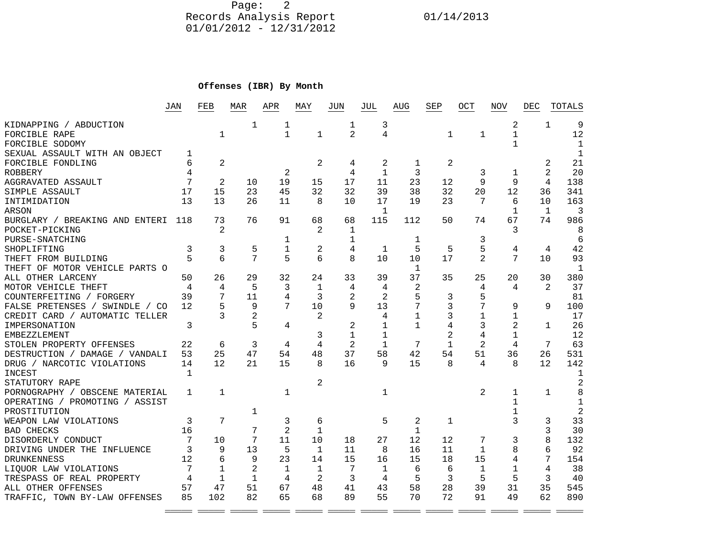Page: 2 Records Analysis Report 01/14/2013 01/01/2012 - 12/31/2012

## **Offenses (IBR) By Month**

|                                | JAN            | FEB            | MAR            | APR            | MAY            | JUN            | JUL          | AUG            | SEP            | OCT            | NOV            | DEC            | TOTALS         |
|--------------------------------|----------------|----------------|----------------|----------------|----------------|----------------|--------------|----------------|----------------|----------------|----------------|----------------|----------------|
| KIDNAPPING / ABDUCTION         |                |                | 1              | 1              |                | 1              | 3            |                |                |                | 2              | $\mathbf{1}$   | 9              |
| FORCIBLE RAPE                  |                | 1              |                | $\mathbf{1}$   | $\mathbf{1}$   | $\overline{2}$ | 4            |                | $\mathbf{1}$   | $\mathbf{1}$   | $\mathbf{1}$   |                | 12             |
| FORCIBLE SODOMY                |                |                |                |                |                |                |              |                |                |                | 1              |                | 1              |
| SEXUAL ASSAULT WITH AN OBJECT  | 1              |                |                |                |                |                |              |                |                |                |                |                | $\mathbf{1}$   |
| FORCIBLE FONDLING              | 6              | 2              |                |                | $\overline{2}$ | 4              | 2            | 1              | 2              |                |                | 2              | 21             |
| <b>ROBBERY</b>                 | 4              |                |                | 2              |                | 4              | $\mathbf{1}$ | 3              |                | 3              | $\mathbf{1}$   | $\mathfrak{D}$ | 20             |
| AGGRAVATED ASSAULT             | 7              | $\overline{2}$ | 10             | 19             | 15             | 17             | 11           | 23             | 12             | $\mathsf{Q}$   | $\circ$        | $\overline{4}$ | 138            |
| SIMPLE ASSAULT                 | 17             | 15             | 23             | 45             | 32             | 32             | 39           | 38             | 32             | 20             | 12             | 36             | 341            |
| INTIMIDATION                   | 13             | 13             | 26             | 11             | 8              | 10             | 17           | 19             | 23             | 7              | 6              | 10             | 163            |
| <b>ARSON</b>                   |                |                |                |                |                |                | $\mathbf{1}$ |                |                |                | 1              | $\overline{1}$ | 3              |
| BURGLARY / BREAKING AND ENTERI | 118            | 73             | 76             | 91             | 68             | 68             | 115          | 112            | 50             | 74             | 67             | 74             | 986            |
| POCKET-PICKING                 |                | $\mathfrak{D}$ |                |                | 2              | 1              |              |                |                |                | 3              |                | 8              |
| PURSE-SNATCHING                |                |                |                | 1              |                | 1              |              | 1              |                | 3              |                |                | 6              |
| SHOPLIFTING                    | 3              | 3              | 5              | $\mathbf{1}$   | 2              | 4              | 1            | 5              | 5              | 5              | 4              | $\overline{4}$ | 42             |
| THEFT FROM BUILDING            |                | 6              | 7              | 5              | б              | $\mathsf{R}$   | 10           | 10             | 17             | $\overline{2}$ | 7              | 1 <sub>0</sub> | 93             |
| THEFT OF MOTOR VEHICLE PARTS O |                |                |                |                |                |                |              | 1              |                |                |                |                | $\mathbf{1}$   |
| ALL OTHER LARCENY              | 50             | 26             | 29             | 32             | 24             | 33             | 39           | 37             | 35             | 25             | 20             | 30             | 380            |
| MOTOR VEHICLE THEFT            | $\overline{4}$ | 4              | 5              | 3              | $\mathbf{1}$   | 4              | 4            | 2              |                | 4              | 4              | $\mathfrak{D}$ | 37             |
| COUNTERFEITING / FORGERY       | 39             | 7              | 11             | 4              | 3              | 2              | 2            | 5              | 3              | 5              |                |                | 81             |
| FALSE PRETENSES / SWINDLE / CO | 12             | 5              | 9              | 7              | 10             | 9              | 13           | 7              | 3              | 7              | 9              | 9              | 100            |
| CREDIT CARD / AUTOMATIC TELLER |                | 3              | $\overline{2}$ |                | 2              |                | 4            | $\mathbf{1}$   | 3              | $\mathbf{1}$   | $\mathbf{1}$   |                | 17             |
| IMPERSONATION                  | 3              |                | 5              | 4              |                | 2              |              | $\mathbf{1}$   | 4              | 3              | $\overline{2}$ | $\mathbf{1}$   | 26             |
| <b>EMBEZZLEMENT</b>            |                |                |                |                | 3              | $\mathbf{1}$   | $\mathbf{1}$ |                | $\overline{2}$ | 4              | $\mathbf{1}$   |                | 12             |
| STOLEN PROPERTY OFFENSES       | 22             | 6              | 3              | 4              | 4              | $\overline{2}$ | $\mathbf{1}$ | 7              | $\mathbf{1}$   | $\overline{2}$ | $\overline{4}$ | 7              | 63             |
| DESTRUCTION / DAMAGE / VANDALI | 53             | 25             | 47             | 54             | 48             | 37             | 58           | 42             | 54             | 51             | 36             | 26             | 531            |
| DRUG / NARCOTIC VIOLATIONS     | 14             | 12             | 21             | 15             | 8              | 16             | 9            | 15             | 8              | 4              | 8              | 12             | 142            |
| <b>INCEST</b>                  | $\mathbf{1}$   |                |                |                |                |                |              |                |                |                |                |                | 1              |
| STATUTORY RAPE                 |                |                |                |                | $\overline{2}$ |                |              |                |                |                |                |                | $\overline{2}$ |
| PORNOGRAPHY / OBSCENE MATERIAL | $\mathbf{1}$   | $\mathbf{1}$   |                | $\mathbf 1$    |                |                | $\mathbf{1}$ |                |                | 2              | $\mathbf{1}$   | $\mathbf{1}$   | 8              |
| OPERATING / PROMOTING / ASSIST |                |                |                |                |                |                |              |                |                |                | 1              |                | $\mathbf{1}$   |
| PROSTITUTION                   |                |                | 1              |                |                |                |              |                |                |                | 1              |                | $\overline{2}$ |
| WEAPON LAW VIOLATIONS          | 3              | 7              |                | 3              | 6              |                | 5            | $\overline{2}$ | $\mathbf{1}$   |                | 3              | 3              | 33             |
| <b>BAD CHECKS</b>              | 16             |                | 7              | $\overline{2}$ | $\mathbf{1}$   |                |              | $\mathbf{1}$   |                |                |                | 3              | 30             |
| DISORDERLY CONDUCT             | 7              | 10             | 7              | 11             | 10             | 18             | 27           | 12             | 12             | 7              | 3              | 8              | 132            |
| DRIVING UNDER THE INFLUENCE    | 3              | 9              | 13             | 5              | $\mathbf{1}$   | 11             | 8            | 16             | 11             | $\mathbf{1}$   | 8              | б              | 92             |
| <b>DRUNKENNESS</b>             | 12             | 6              | 9              | 23             | 14             | 15             | 16           | 15             | 18             | 15             | 4              | 7              | 154            |
| LIOUOR LAW VIOLATIONS          | 7              | $\mathbf{1}$   | $\overline{2}$ | $\mathbf{1}$   | $\mathbf{1}$   | 7              | $\mathbf{1}$ | 6              | 6              | $\mathbf{1}$   | $\mathbf{1}$   | 4              | 38             |
| TRESPASS OF REAL PROPERTY      | 4              | $\mathbf{1}$   | $\mathbf{1}$   | 4              | 2              | 3              | 4            | 5              | 3              | 5              | 5              | 3              | 40             |
| ALL OTHER OFFENSES             | 57             | 47             | 51             | 67             | 48             | 41             | 43           | 58             | 28             | 39             | 31             | 35             | 545            |
| TRAFFIC, TOWN BY-LAW OFFENSES  | 85             | 102            | 82             | 65             | 68             | 89             | 55           | 70             | 72             | 91             | 49             | 62             | 890            |
|                                |                |                |                |                |                |                |              |                |                |                |                |                |                |